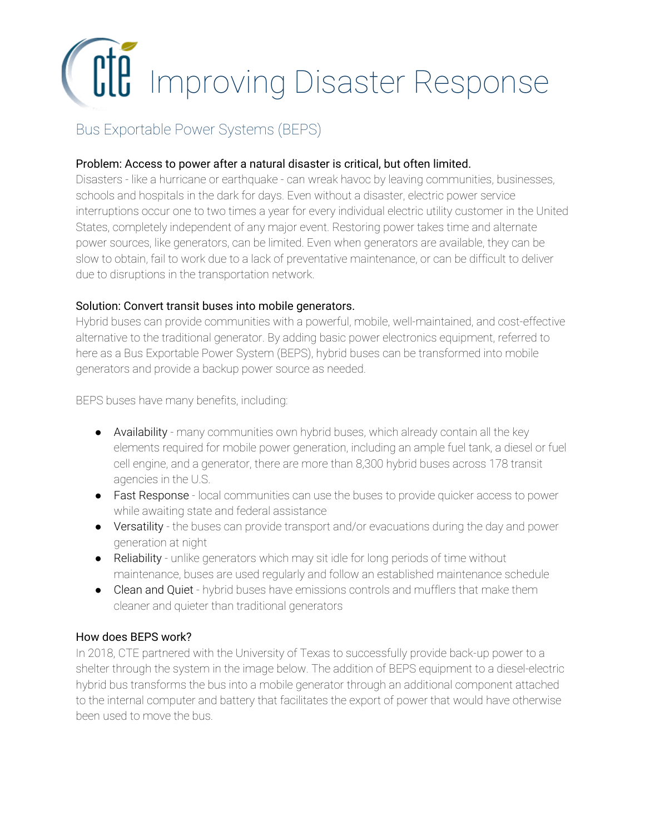

# Bus Exportable Power Systems (BEPS)

# Problem: Access to power after a natural disaster is critical, but often limited.

Disasters - like a hurricane or earthquake - can wreak havoc by leaving communities, businesses, schools and hospitals in the dark for days. Even without a disaster, electric power service interruptions occur one to two times a year for every individual electric utility customer in the United States, completely independent of any major event. Restoring power takes time and alternate power sources, like generators, can be limited. Even when generators are available, they can be slow to obtain, fail to work due to a lack of preventative maintenance, or can be difficult to deliver due to disruptions in the transportation network.

### Solution: Convert transit buses into mobile generators.

Hybrid buses can provide communities with a powerful, mobile, well-maintained, and cost-effective alternative to the traditional generator. By adding basic power electronics equipment, referred to here as a Bus Exportable Power System (BEPS), hybrid buses can be transformed into mobile generators and provide a backup power source as needed.

BEPS buses have many benefits, including:

- Availability many communities own hybrid buses, which already contain all the key elements required for mobile power generation, including an ample fuel tank, a diesel or fuel cell engine, and a generator, there are more than 8,300 hybrid buses across 178 transit agencies in the U.S.
- Fast Response local communities can use the buses to provide quicker access to power while awaiting state and federal assistance
- Versatility the buses can provide transport and/or evacuations during the day and power generation at night
- Reliability unlike generators which may sit idle for long periods of time without maintenance, buses are used regularly and follow an established maintenance schedule
- Clean and Quiet hybrid buses have emissions controls and mufflers that make them cleaner and quieter than traditional generators

### How does BEPS work?

In 2018, CTE partnered with the University of Texas to successfully provide back-up power to a shelter through the system in the image below. The addition of BEPS equipment to a diesel-electric hybrid bus transforms the bus into a mobile generator through an additional component attached to the internal computer and battery that facilitates the export of power that would have otherwise been used to move the bus.